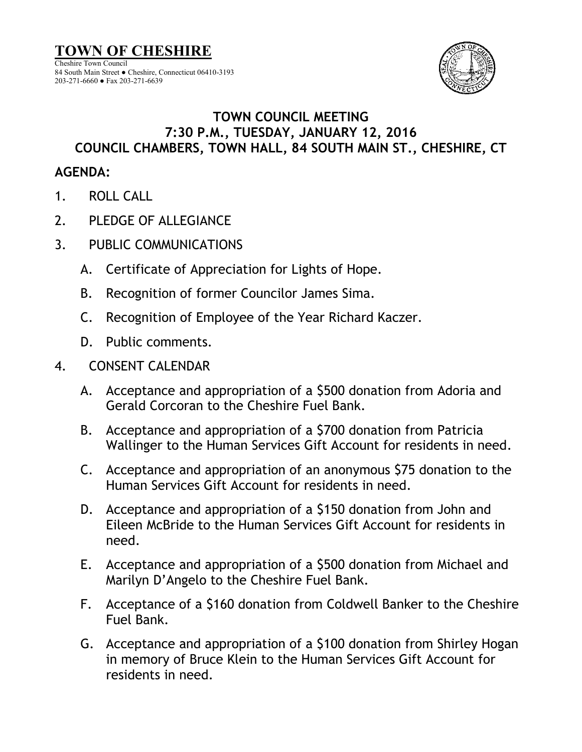

## **TOWN COUNCIL MEETING 7:30 P.M., TUESDAY, JANUARY 12, 2016 COUNCIL CHAMBERS, TOWN HALL, 84 SOUTH MAIN ST., CHESHIRE, CT**

## **AGENDA:**

- 1. ROLL CALL
- 2. PLEDGE OF ALLEGIANCE
- 3. PUBLIC COMMUNICATIONS
	- A. Certificate of Appreciation for Lights of Hope.
	- B. Recognition of former Councilor James Sima.
	- C. Recognition of Employee of the Year Richard Kaczer.
	- D. Public comments.
- 4. CONSENT CALENDAR
	- A. Acceptance and appropriation of a \$500 donation from Adoria and Gerald Corcoran to the Cheshire Fuel Bank.
	- B. Acceptance and appropriation of a \$700 donation from Patricia Wallinger to the Human Services Gift Account for residents in need.
	- C. Acceptance and appropriation of an anonymous \$75 donation to the Human Services Gift Account for residents in need.
	- D. Acceptance and appropriation of a \$150 donation from John and Eileen McBride to the Human Services Gift Account for residents in need.
	- E. Acceptance and appropriation of a \$500 donation from Michael and Marilyn D'Angelo to the Cheshire Fuel Bank.
	- F. Acceptance of a \$160 donation from Coldwell Banker to the Cheshire Fuel Bank.
	- G. Acceptance and appropriation of a \$100 donation from Shirley Hogan in memory of Bruce Klein to the Human Services Gift Account for residents in need.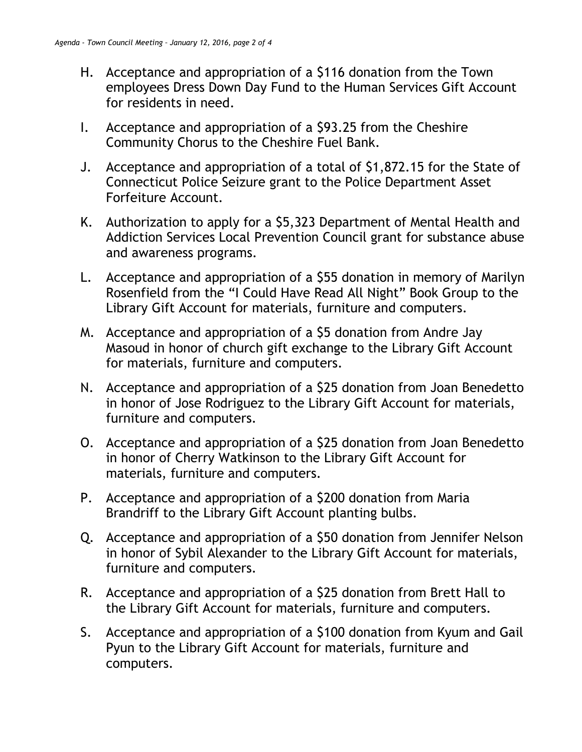- H. Acceptance and appropriation of a \$116 donation from the Town employees Dress Down Day Fund to the Human Services Gift Account for residents in need.
- I. Acceptance and appropriation of a \$93.25 from the Cheshire Community Chorus to the Cheshire Fuel Bank.
- J. Acceptance and appropriation of a total of \$1,872.15 for the State of Connecticut Police Seizure grant to the Police Department Asset Forfeiture Account.
- K. Authorization to apply for a \$5,323 Department of Mental Health and Addiction Services Local Prevention Council grant for substance abuse and awareness programs.
- L. Acceptance and appropriation of a \$55 donation in memory of Marilyn Rosenfield from the "I Could Have Read All Night" Book Group to the Library Gift Account for materials, furniture and computers.
- M. Acceptance and appropriation of a \$5 donation from Andre Jay Masoud in honor of church gift exchange to the Library Gift Account for materials, furniture and computers.
- N. Acceptance and appropriation of a \$25 donation from Joan Benedetto in honor of Jose Rodriguez to the Library Gift Account for materials, furniture and computers.
- O. Acceptance and appropriation of a \$25 donation from Joan Benedetto in honor of Cherry Watkinson to the Library Gift Account for materials, furniture and computers.
- P. Acceptance and appropriation of a \$200 donation from Maria Brandriff to the Library Gift Account planting bulbs.
- Q. Acceptance and appropriation of a \$50 donation from Jennifer Nelson in honor of Sybil Alexander to the Library Gift Account for materials, furniture and computers.
- R. Acceptance and appropriation of a \$25 donation from Brett Hall to the Library Gift Account for materials, furniture and computers.
- S. Acceptance and appropriation of a \$100 donation from Kyum and Gail Pyun to the Library Gift Account for materials, furniture and computers.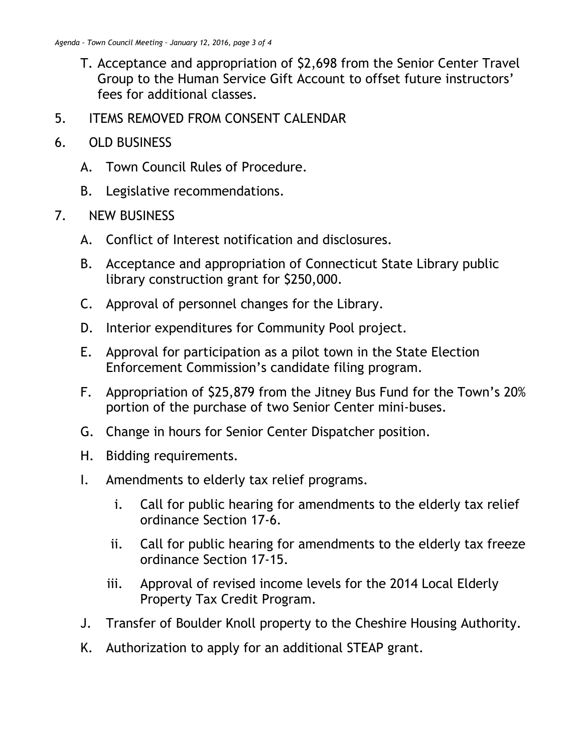- T. Acceptance and appropriation of \$2,698 from the Senior Center Travel Group to the Human Service Gift Account to offset future instructors' fees for additional classes.
- 5. ITEMS REMOVED FROM CONSENT CALENDAR
- 6. OLD BUSINESS
	- A. Town Council Rules of Procedure.
	- B. Legislative recommendations.
- 7. NEW BUSINESS
	- A. Conflict of Interest notification and disclosures.
	- B. Acceptance and appropriation of Connecticut State Library public library construction grant for \$250,000.
	- C. Approval of personnel changes for the Library.
	- D. Interior expenditures for Community Pool project.
	- E. Approval for participation as a pilot town in the State Election Enforcement Commission's candidate filing program.
	- F. Appropriation of \$25,879 from the Jitney Bus Fund for the Town's 20% portion of the purchase of two Senior Center mini-buses.
	- G. Change in hours for Senior Center Dispatcher position.
	- H. Bidding requirements.
	- I. Amendments to elderly tax relief programs.
		- i. Call for public hearing for amendments to the elderly tax relief ordinance Section 17-6.
		- ii. Call for public hearing for amendments to the elderly tax freeze ordinance Section 17-15.
		- iii. Approval of revised income levels for the 2014 Local Elderly Property Tax Credit Program.
	- J. Transfer of Boulder Knoll property to the Cheshire Housing Authority.
	- K. Authorization to apply for an additional STEAP grant.